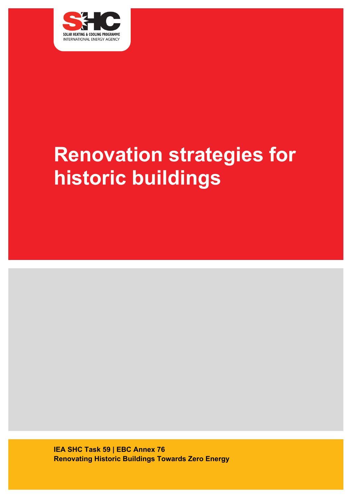

# **Renovation strategies for historic buildings**

**IEA SHC Task 59 | EBC Annex 76 Renovating Historic Buildings Towards Zero Energy**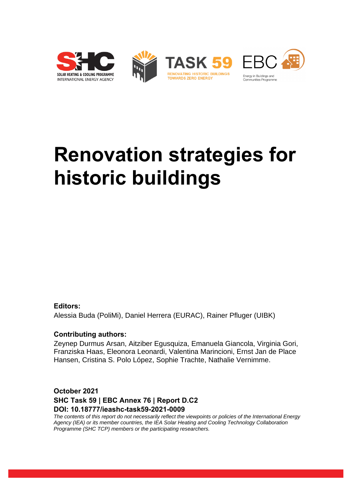

# **Renovation strategies for historic buildings**

#### **Editors:**

Alessia Buda (PoliMi), Daniel Herrera (EURAC), Rainer Pfluger (UIBK)

#### **Contributing authors:**

Zeynep Durmus Arsan, Aitziber Egusquiza, Emanuela Giancola, Virginia Gori, Franziska Haas, Eleonora Leonardi, Valentina Marincioni, Ernst Jan de Place Hansen, Cristina S. Polo López, Sophie Trachte, Nathalie Vernimme.

## **October 2021 SHC Task 59 | EBC Annex 76 | Report D.C2 DOI: 10.18777/ieashc-task59-2021-0009**

*The contents of this report do not necessarily reflect the viewpoints or policies of the International Energy Agency (IEA) or its member countries, the IEA Solar Heating and Cooling Technology Collaboration Programme (SHC TCP) members or the participating researchers.*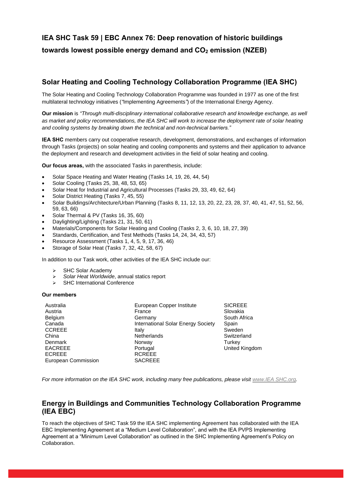# **IEA SHC Task 59 | EBC Annex 76: Deep renovation of historic buildings towards lowest possible energy demand and CO<sup>2</sup> emission (NZEB)**

### **Solar Heating and Cooling Technology Collaboration Programme (IEA SHC)**

The Solar Heating and Cooling Technology Collaboration Programme was founded in 1977 as one of the first multilateral technology initiatives (*"*Implementing Agreements*"*) of the International Energy Agency.

**Our mission** is *"Through multi-disciplinary international collaborative research and knowledge exchange, as well as market and policy recommendations, the IEA SHC will work to increase the deployment rate of solar heating and cooling systems by breaking down the technical and non-technical barriers."*

**IEA SHC** members carry out cooperative research, development, demonstrations, and exchanges of information through Tasks (projects) on solar heating and cooling components and systems and their application to advance the deployment and research and development activities in the field of solar heating and cooling.

**Our focus areas,** with the associated Tasks in parenthesis, include:

- Solar Space Heating and Water Heating (Tasks 14, 19, 26, 44, 54)
- Solar Cooling (Tasks 25, 38, 48, 53, 65)
- Solar Heat for Industrial and Agricultural Processes (Tasks 29, 33, 49, 62, 64)
- Solar District Heating (Tasks 7, 45, 55)
- Solar Buildings/Architecture/Urban Planning (Tasks 8, 11, 12, 13, 20, 22, 23, 28, 37, 40, 41, 47, 51, 52, 56, 59, 63, 66)
- Solar Thermal & PV (Tasks 16, 35, 60)
- Daylighting/Lighting (Tasks 21, 31, 50, 61)
- Materials/Components for Solar Heating and Cooling (Tasks 2, 3, 6, 10, 18, 27, 39)
- Standards, Certification, and Test Methods (Tasks 14, 24, 34, 43, 57)
- Resource Assessment (Tasks 1, 4, 5, 9, 17, 36, 46)
- Storage of Solar Heat (Tasks 7, 32, 42, 58, 67)

In addition to our Task work, other activities of the IEA SHC include our:

- ➢ SHC Solar Academy
- ➢ *Solar Heat Worldwide*, annual statics report
- ➢ SHC International Conference

#### **Our members**

| Australia           | European Copper Institute          | <b>SICREEE</b>        |
|---------------------|------------------------------------|-----------------------|
| Austria             | France                             | Slovakia              |
| <b>Belgium</b>      | Germany                            | South Africa          |
| Canada              | International Solar Energy Society | Spain                 |
| <b>CCREEE</b>       | Italy                              | Sweden                |
| China               | <b>Netherlands</b>                 | Switzerland           |
| <b>Denmark</b>      | Norway                             | Turkey                |
| <b>EACREEE</b>      | Portugal                           | <b>United Kingdom</b> |
| <b>ECREEE</b>       | <b>RCREEE</b>                      |                       |
| European Commission | <b>SACREEE</b>                     |                       |
|                     |                                    |                       |

*For more information on the IEA SHC work, including many free publications, please visit [www.IEA SHC.org.](http://www.iea-shc.org/)*

#### **Energy in Buildings and Communities Technology Collaboration Programme (IEA EBC)**

To reach the objectives of SHC Task 59 the IEA SHC implementing Agreement has collaborated with the IEA EBC Implementing Agreement at a "Medium Level Collaboration", and with the IEA PVPS Implementing Agreement at a "Minimum Level Collaboration" as outlined in the SHC Implementing Agreement's Policy on Collaboration.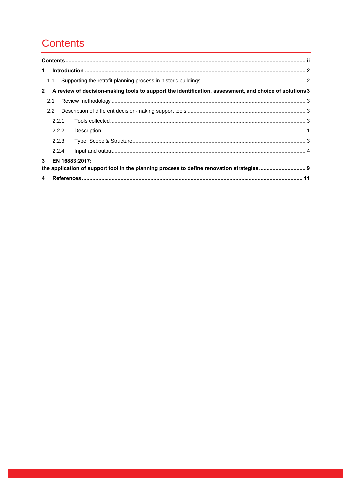# **Contents**

| $\mathbf 1$  |                                                                                                                             |  |                                                                                                        |  |  |  |
|--------------|-----------------------------------------------------------------------------------------------------------------------------|--|--------------------------------------------------------------------------------------------------------|--|--|--|
|              | 1.1                                                                                                                         |  |                                                                                                        |  |  |  |
| $\mathbf{2}$ |                                                                                                                             |  | A review of decision-making tools to support the identification, assessment, and choice of solutions 3 |  |  |  |
|              | 2.1                                                                                                                         |  |                                                                                                        |  |  |  |
|              | 2.2                                                                                                                         |  |                                                                                                        |  |  |  |
|              | 2.2.1                                                                                                                       |  |                                                                                                        |  |  |  |
|              | 2.2.2                                                                                                                       |  |                                                                                                        |  |  |  |
|              | 2.2.3                                                                                                                       |  |                                                                                                        |  |  |  |
|              | 2.2.4                                                                                                                       |  |                                                                                                        |  |  |  |
|              | $\mathbf{3}$<br>EN 16883:2017:<br>the application of support tool in the planning process to define renovation strategies 9 |  |                                                                                                        |  |  |  |
|              |                                                                                                                             |  |                                                                                                        |  |  |  |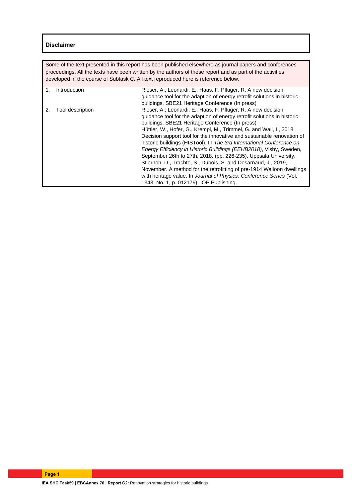#### **Disclaimer**

Some of the text presented in this report has been published elsewhere as journal papers and conferences proceedings. All the texts have been written by the authors of these report and as part of the activities developed in the course of Subtask C. All text reproduced here is reference below.

| Introduction     | Rieser, A.; Leonardi, E.; Haas, F; Pfluger, R. A new decision<br>quidance tool for the adaption of energy retrofit solutions in historic<br>buildings. SBE21 Heritage Conference (In press)                                                                                                                                                                                                                                                                                                                                                                                                                                                                                                                                                                                                                                  |
|------------------|------------------------------------------------------------------------------------------------------------------------------------------------------------------------------------------------------------------------------------------------------------------------------------------------------------------------------------------------------------------------------------------------------------------------------------------------------------------------------------------------------------------------------------------------------------------------------------------------------------------------------------------------------------------------------------------------------------------------------------------------------------------------------------------------------------------------------|
| Tool description | Rieser, A.; Leonardi, E.; Haas, F; Pfluger, R. A new decision<br>quidance tool for the adaption of energy retrofit solutions in historic<br>buildings. SBE21 Heritage Conference (In press)<br>Hüttler, W., Hofer, G., Krempl, M., Trimmel, G. and Wall, I., 2018.<br>Decision support tool for the innovative and sustainable renovation of<br>historic buildings (HISTool). In The 3rd International Conference on<br>Energy Efficiency in Historic Buildings (EEHB2018), Visby, Sweden,<br>September 26th to 27th, 2018. (pp. 226-235). Uppsala University.<br>Stiernon, D., Trachte, S., Dubois, S. and Desarnaud, J., 2019,<br>November. A method for the retrofitting of pre-1914 Walloon dwellings<br>with heritage value. In Journal of Physics: Conference Series (Vol.<br>1343, No. 1, p. 012179). IOP Publishing. |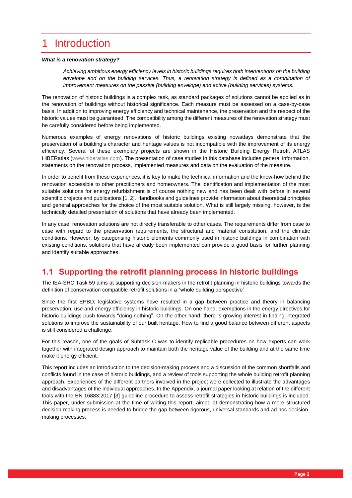# 1 Introduction

#### *What is a renovation strategy?*

*Achieving ambitious energy efficiency levels in historic buildings requires both interventions on the building envelope and on the building services. Thus, a renovation strategy is defined as a combination of improvement measures on the passive (building envelope) and active (building services) systems.*

The renovation of historic buildings is a complex task, as standard packages of solutions cannot be applied as in the renovation of buildings without historical significance. Each measure must be assessed on a case-by-case basis. In addition to improving energy efficiency and technical maintenance, the preservation and the respect of the historic values must be guaranteed. The compatibility among the different measures of the renovation strategy must be carefully considered before being implemented.

Numerous examples of energy renovations of historic buildings existing nowadays demonstrate that the preservation of a building's character and heritage values is not incompatible with the improvement of its energy efficiency. Several of these exemplary projects are shown in the Historic Building Energy Retrofit ATLAS HiBERatlas [\(www.hiberatlas.com\)](http://www.hiberatlas.com/). The presentation of case studies in this database includes general information, statements on the renovation process, implemented measures and data on the evaluation of the measure.

In order to benefit from these experiences, it is key to make the technical information and the know-how behind the renovation accessible to other practitioners and homeowners. The identification and implementation of the most suitable solutions for energy refurbishment is of course nothing new and has been dealt with before in several scientific projects and publications [1, 2]. Handbooks and guidelines provide information about theoretical principles and general approaches for the choice of the most suitable solution. What is still largely missing, however, is the technically detailed presentation of solutions that have already been implemented.

In any case, renovation solutions are not directly transferable to other cases. The requirements differ from case to case with regard to the preservation requirements, the structural and material constitution, and the climatic conditions. However, by categorising historic elements commonly used in historic buildings in combination with existing conditions, solutions that have already been implemented can provide a good basis for further planning and identify suitable approaches.

## **1.1 Supporting the retrofit planning process in historic buildings**

The IEA-SHC Task 59 aims at supporting decision-makers in the retrofit planning in historic buildings towards the definition of conservation compatible retrofit solutions in a "whole building perspective".

Since the first EPBD, legislative systems have resulted in a gap between practice and theory in balancing preservation, use and energy efficiency in historic buildings. On one hand, exemptions in the energy directives for historic buildings push towards "doing nothing". On the other hand, there is growing interest in finding integrated solutions to improve the sustainability of our built heritage. How to find a good balance between different aspects is still considered a challenge.

For this reason, one of the goals of Subtask C was to identify replicable procedures on how experts can work together with integrated design approach to maintain both the heritage value of the building and at the same time make it energy efficient.

This report includes an introduction to the decision-making process and a discussion of the common shortfalls and conflicts found in the case of historic buildings, and a review of tools supporting the whole building retrofit planning approach. Experiences of the different partners involved in the project were collected to illustrate the advantages and disadvantages of the individual approaches. In the Appendix, a journal paper looking at relation of the different tools with the EN 16883:2017 [3] guideline procedure to assess retrofit strategies in historic buildings is included. This paper, under submission at the time of writing this report, aimed at demonstrating how a more structured decision-making process is needed to bridge the gap between rigorous, universal standards and ad hoc decisionmaking processes.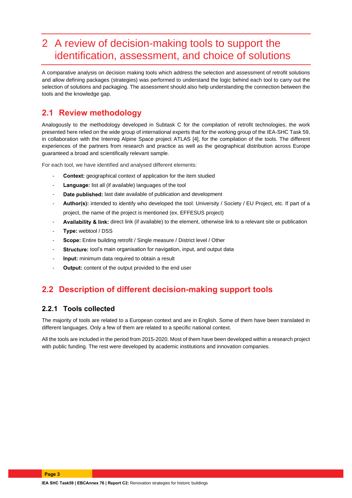# 2 A review of decision-making tools to support the identification, assessment, and choice of solutions

A comparative analysis on decision making tools which address the selection and assessment of retrofit solutions and allow defining packages (strategies) was performed to understand the logic behind each tool to carry out the selection of solutions and packaging. The assessment should also help understanding the connection between the tools and the knowledge gap.

## **2.1 Review methodology**

Analogously to the methodology developed in Subtask C for the compilation of retrofit technologies, the work presented here relied on the wide group of international experts that for the working group of the IEA-SHC Task 59, in collaboration with the Interreg Alpine Space project ATLAS [4], for the compilation of the tools. The different experiences of the partners from research and practice as well as the geographical distribution across Europe guaranteed a broad and scientifically relevant sample.

For each tool, we have identified and analysed different elements:

- **Context:** geographical context of application for the item studied
- Language: list all (if available) languages of the tool
- Date published: last date available of publication and development
- Author(s): intended to identify who developed the tool: University / Society / EU Project, etc. If part of a project, the name of the project is mentioned (ex. EFFESUS project)
- **Availability & link:** direct link (if available) to the element, otherwise link to a relevant site or publication
- Type: webtool / DSS
- Scope: Entire building retrofit / Single measure / District level / Other
- **Structure:** tool's main organisation for navigation, input, and output data
- Input: minimum data required to obtain a result
- **Output:** content of the output provided to the end user

## **2.2 Description of different decision-making support tools**

#### **2.2.1 Tools collected**

The majority of tools are related to a European context and are in English. Some of them have been translated in different languages. Only a few of them are related to a specific national context.

All the tools are included in the period from 2015-2020. Most of them have been developed within a research project with public funding. The rest were developed by academic institutions and innovation companies.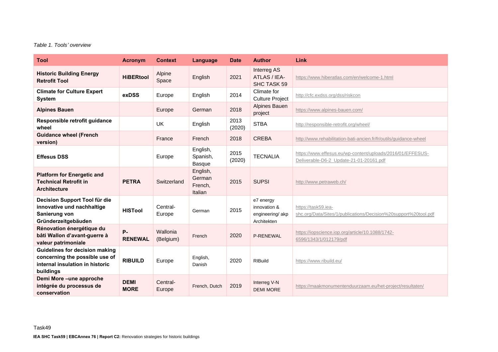#### *Table 1. Tools' overview*

| <b>Tool</b>                                                                                                             | <b>Acronym</b>              | <b>Context</b>        | Language                                 | <b>Date</b>    | <b>Author</b>                                               | Link                                                                                                  |
|-------------------------------------------------------------------------------------------------------------------------|-----------------------------|-----------------------|------------------------------------------|----------------|-------------------------------------------------------------|-------------------------------------------------------------------------------------------------------|
| <b>Historic Building Energy</b><br><b>Retrofit Tool</b>                                                                 | <b>HiBERtool</b>            | Alpine<br>Space       | English                                  | 2021           | Interreg AS<br>ATLAS / IEA-<br>SHC TASK 59                  | https://www.hiberatlas.com/en/welcome-1.html                                                          |
| <b>Climate for Culture Expert</b><br><b>System</b>                                                                      | exDSS                       | Europe                | English                                  | 2014           | Climate for<br><b>Culture Project</b>                       | http://cfc.exdss.org/dss/riskcon                                                                      |
| <b>Alpines Bauen</b>                                                                                                    |                             | Europe                | German                                   | 2018           | <b>Alpines Bauen</b><br>project                             | https://www.alpines-bauen.com/                                                                        |
| Responsible retrofit guidance<br>wheel                                                                                  |                             | UK                    | English                                  | 2013<br>(2020) | <b>STBA</b>                                                 | http://responsible-retrofit.org/wheel/                                                                |
| <b>Guidance wheel (French</b><br>version)                                                                               |                             | France                | French                                   | 2018           | <b>CREBA</b>                                                | http://www.rehabilitation-bati-ancien.fr/fr/outils/guidance-wheel                                     |
| <b>Effesus DSS</b>                                                                                                      |                             | Europe                | English,<br>Spanish,<br>Basque           | 2015<br>(2020) | <b>TECNALIA</b>                                             | https://www.effesus.eu/wp-content/uploads/2016/01/EFFESUS-<br>Deliverable-D6-2_Update-21-01-20161.pdf |
| <b>Platform for Energetic and</b><br><b>Technical Retrofit in</b><br><b>Architecture</b>                                | <b>PETRA</b>                | Switzerland           | English,<br>German<br>French,<br>Italian | 2015           | <b>SUPSI</b>                                                | http://www.petraweb.ch/                                                                               |
| Decision Support Tool für die<br>innovative und nachhaltige<br>Sanierung von<br>Gründerzeitgebäuden                     | <b>HISTool</b>              | Central-<br>Europe    | German                                   | 2015           | e7 energy<br>innovation &<br>engineering/akp<br>Architekten | https://task59.iea-<br>shc.org/Data/Sites/1/publications/Decision%20support%20tool.pdf                |
| Rénovation énergétique du<br>bâti Wallon d'avant-guerre à<br>valeur patrimoniale                                        | <b>P-</b><br><b>RENEWAL</b> | Wallonia<br>(Belgium) | French                                   | 2020           | P-RENEWAL                                                   | https://iopscience.iop.org/article/10.1088/1742-<br>6596/1343/1/012179/pdf                            |
| <b>Guidelines for decision making</b><br>concerning the possible use of<br>internal insulation in historic<br>buildings | <b>RIBUILD</b>              | Europe                | English,<br>Danish                       | 2020           | <b>RIBuild</b>                                              | https://www.ribuild.eu/                                                                               |
| Demi More-une approche<br>intégrée du processus de<br>conservation                                                      | <b>DEMI</b><br><b>MORE</b>  | Central-<br>Europe    | French, Dutch                            | 2019           | Interreg V-N<br><b>DEMI MORE</b>                            | https://maakmonumentenduurzaam.eu/het-project/resultaten/                                             |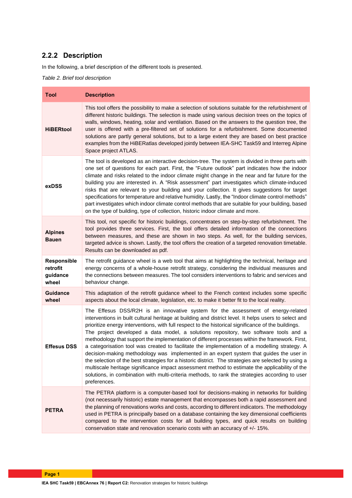## **2.2.2 Description**

In the following, a brief description of the different tools is presented.

*Table 2. Brief tool description* 

| <b>Tool</b>                                  | <b>Description</b>                                                                                                                                                                                                                                                                                                                                                                                                                                                                                                                                                                                                                                                                                                                                                                                                                                                                                                                                                                                                   |
|----------------------------------------------|----------------------------------------------------------------------------------------------------------------------------------------------------------------------------------------------------------------------------------------------------------------------------------------------------------------------------------------------------------------------------------------------------------------------------------------------------------------------------------------------------------------------------------------------------------------------------------------------------------------------------------------------------------------------------------------------------------------------------------------------------------------------------------------------------------------------------------------------------------------------------------------------------------------------------------------------------------------------------------------------------------------------|
| <b>HiBERtool</b>                             | This tool offers the possibility to make a selection of solutions suitable for the refurbishment of<br>different historic buildings. The selection is made using various decision trees on the topics of<br>walls, windows, heating, solar and ventilation. Based on the answers to the question tree, the<br>user is offered with a pre-filtered set of solutions for a refurbishment. Some documented<br>solutions are partly general solutions, but to a large extent they are based on best practice<br>examples from the HiBERatlas developed jointly between IEA-SHC Task59 and Interreg Alpine<br>Space project ATLAS.                                                                                                                                                                                                                                                                                                                                                                                        |
| exDSS                                        | The tool is developed as an interactive decision-tree. The system is divided in three parts with<br>one set of questions for each part. First, the "Future outlook" part indicates how the indoor<br>climate and risks related to the indoor climate might change in the near and far future for the<br>building you are interested in. A "Risk assessment" part investigates which climate-induced<br>risks that are relevant to your building and your collection. It gives suggestions for target<br>specifications for temperature and relative humidity. Lastly, the "Indoor climate control methods"<br>part investigates which indoor climate control methods that are suitable for your building, based<br>on the type of building, type of collection, historic indoor climate and more.                                                                                                                                                                                                                    |
| <b>Alpines</b><br><b>Bauen</b>               | This tool, not specific for historic buildings, concentrates on step-by-step refurbishment. The<br>tool provides three services. First, the tool offers detailed information of the connections<br>between measures, and these are shown in two steps. As well, for the building services,<br>targeted advice is shown. Lastly, the tool offers the creation of a targeted renovation timetable.<br>Results can be downloaded as pdf.                                                                                                                                                                                                                                                                                                                                                                                                                                                                                                                                                                                |
| Responsible<br>retrofit<br>guidance<br>wheel | The retrofit guidance wheel is a web tool that aims at highlighting the technical, heritage and<br>energy concerns of a whole-house retrofit strategy, considering the individual measures and<br>the connections between measures. The tool considers interventions to fabric and services and<br>behaviour change.                                                                                                                                                                                                                                                                                                                                                                                                                                                                                                                                                                                                                                                                                                 |
| <b>Guidance</b><br>wheel                     | This adaptation of the retrofit guidance wheel to the French context includes some specific<br>aspects about the local climate, legislation, etc. to make it better fit to the local reality.                                                                                                                                                                                                                                                                                                                                                                                                                                                                                                                                                                                                                                                                                                                                                                                                                        |
| <b>Effesus DSS</b>                           | The Effesus DSS/R2H is an innovative system for the assessment of energy-related<br>interventions in built cultural heritage at building and district level. It helps users to select and<br>prioritize energy interventions, with full respect to the historical significance of the buildings.<br>The project developed a data model, a solutions repository, two software tools and a<br>methodology that support the implementation of different processes within the framework. First,<br>a categorisation tool was created to facilitate the implementation of a modelling strategy. A<br>decision-making methodology was implemented in an expert system that guides the user in<br>the selection of the best strategies for a historic district. The strategies are selected by using a<br>multiscale heritage significance impact assessment method to estimate the applicability of the<br>solutions, in combination with multi-criteria methods, to rank the strategies according to user<br>preferences. |
| <b>PETRA</b>                                 | The PETRA platform is a computer-based tool for decisions-making in networks for building<br>(not necessarily historic) estate management that encompasses both a rapid assessment and<br>the planning of renovations works and costs, according to different indicators. The methodology<br>used in PETRA is principally based on a database containing the key dimensional coefficients<br>compared to the intervention costs for all building types, and quick results on building<br>conservation state and renovation scenario costs with an accuracy of +/- 15%.                                                                                                                                                                                                                                                                                                                                                                                                                                               |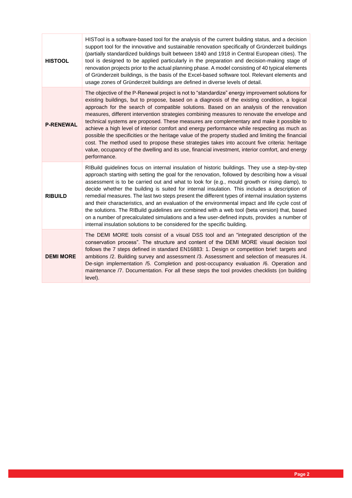| <b>HISTOOL</b>   | HISTool is a software-based tool for the analysis of the current building status, and a decision<br>support tool for the innovative and sustainable renovation specifically of Gründerzeit buildings<br>(partially standardized buildings built between 1840 and 1918 in Central European cities). The<br>tool is designed to be applied particularly in the preparation and decision-making stage of<br>renovation projects prior to the actual planning phase. A model consisting of 40 typical elements<br>of Gründerzeit buildings, is the basis of the Excel-based software tool. Relevant elements and<br>usage zones of Gründerzeit buildings are defined in diverse levels of detail.                                                                                                                                                                                                                    |
|------------------|------------------------------------------------------------------------------------------------------------------------------------------------------------------------------------------------------------------------------------------------------------------------------------------------------------------------------------------------------------------------------------------------------------------------------------------------------------------------------------------------------------------------------------------------------------------------------------------------------------------------------------------------------------------------------------------------------------------------------------------------------------------------------------------------------------------------------------------------------------------------------------------------------------------|
| <b>P-RENEWAL</b> | The objective of the P-Renewal project is not to "standardize" energy improvement solutions for<br>existing buildings, but to propose, based on a diagnosis of the existing condition, a logical<br>approach for the search of compatible solutions. Based on an analysis of the renovation<br>measures, different intervention strategies combining measures to renovate the envelope and<br>technical systems are proposed. These measures are complementary and make it possible to<br>achieve a high level of interior comfort and energy performance while respecting as much as<br>possible the specificities or the heritage value of the property studied and limiting the financial<br>cost. The method used to propose these strategies takes into account five criteria: heritage<br>value, occupancy of the dwelling and its use, financial investment, interior comfort, and energy<br>performance. |
| <b>RIBUILD</b>   | RIBuild guidelines focus on internal insulation of historic buildings. They use a step-by-step<br>approach starting with setting the goal for the renovation, followed by describing how a visual<br>assessment is to be carried out and what to look for (e.g., mould growth or rising damp), to<br>decide whether the building is suited for internal insulation. This includes a description of<br>remedial measures. The last two steps present the different types of internal insulation systems<br>and their characteristics, and an evaluation of the environmental impact and life cycle cost of<br>the solutions. The RIBuild guidelines are combined with a web tool (beta version) that, based<br>on a number of precalculated simulations and a few user-defined inputs, provides a number of<br>internal insulation solutions to be considered for the specific building.                          |
| <b>DEMI MORE</b> | The DEMI MORE tools consist of a visual DSS tool and an "integrated description of the<br>conservation process". The structure and content of the DEMI MORE visual decision tool<br>follows the 7 steps defined in standard EN16883: 1. Design or competition brief: targets and<br>ambitions /2. Building survey and assessment /3. Assessment and selection of measures /4.<br>De-sign implementation /5. Completion and post-occupancy evaluation /6. Operation and<br>maintenance /7. Documentation. For all these steps the tool provides checklists (on building<br>level).                                                                                                                                                                                                                                                                                                                                |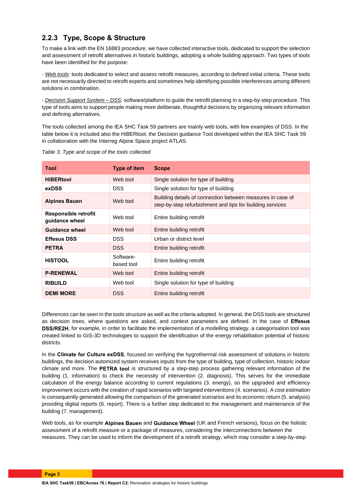## **2.2.3 Type, Scope & Structure**

To make a link with the EN 16883 procedure, we have collected interactive tools, dedicated to support the selection and assessment of retrofit alternatives in historic buildings, adopting a whole building approach. Two types of tools have been identified for the purpose:

- *Web tools*: tools dedicated to select and assess retrofit measures, according to defined initial criteria. These tools are not necessarily directed to retrofit experts and sometimes help identifying possible interferences among different solutions in combination.

- *Decision Support System – DSS*: software/platform to guide the retrofit planning in a step-by-step procedure. This type of tools aims to support people making more deliberate, thoughtful decisions by organizing relevant information and defining alternatives.

The tools collected among the IEA SHC Task 59 partners are mainly web tools, with few examples of DSS. In the table below it is included also the HiBERtool, the Decision guidance Tool developed within the IEA SHC Task 59 in collaboration with the Interreg Alpine Space project ATLAS.

| <b>Tool</b>                            | Type of item            | <b>Scope</b>                                                                                                            |  |
|----------------------------------------|-------------------------|-------------------------------------------------------------------------------------------------------------------------|--|
| <b>HiBERtool</b>                       | Web tool                | Single solution for type of building                                                                                    |  |
| exDSS                                  | <b>DSS</b>              | Single solution for type of building                                                                                    |  |
| <b>Alpines Bauen</b>                   | Web tool                | Building details of connection between measures in case of<br>step-by-step refurbishment and tips for building services |  |
| Responsible retrofit<br>guidance wheel | Web tool                | Entire building retrofit                                                                                                |  |
| <b>Guidance wheel</b>                  | Web tool                | Entire building retrofit                                                                                                |  |
| <b>Effesus DSS</b>                     | <b>DSS</b>              | Urban or district level                                                                                                 |  |
| <b>PETRA</b>                           | <b>DSS</b>              | Entire building retrofit                                                                                                |  |
| <b>HISTOOL</b>                         | Software-<br>based tool | Entire building retrofit                                                                                                |  |
| <b>P-RENEWAL</b>                       | Web tool                | Entire building retrofit                                                                                                |  |
| <b>RIBUILD</b>                         | Web tool                | Single solution for type of building                                                                                    |  |
| <b>DEMI MORE</b>                       | <b>DSS</b>              | Entire building retrofit                                                                                                |  |

*Table 3. Type and scope of the tools collected*

Differences can be seen in the tools structure as well as the criteria adopted. In general, the DSS tools are structured as decision trees, where questions are asked, and context parameters are defined. In the case of **Effesus DSS/RE2H**, for example, in order to facilitate the implementation of a modelling strategy, a categorisation tool was created linked to GIS-3D technologies to support the identification of the energy rehabilitation potential of historic districts.

In the **Climate for Culture exDSS**, focused on verifying the hygrothermal risk assessment of solutions in historic buildings, the decision automized system receives inputs from the type of building, type of collection, historic indoor climate and more. The **PETRA tool** is structured by a step-step process gathering relevant information of the building (1. information) to check the necessity of intervention (2. diagnosis). This serves for the immediate calculation of the energy balance according to current regulations (3. energy), so the upgraded and efficiency improvement occurs with the creation of rapid scenarios with targeted interventions (4. scenarios). A cost estimation is consequently generated allowing the comparison of the generated scenarios and its economic return (5. analysis) providing digital reports (6. report). There is a further step dedicated to the management and maintenance of the building (7. management).

Web tools, as for example **Alpines Bauen** and **Guidance Wheel** (UK and French versions), focus on the holistic assessment of a retrofit measure or a package of measures, considering the interconnections between the measures. They can be used to inform the development of a retrofit strategy, which may consider a step-by-step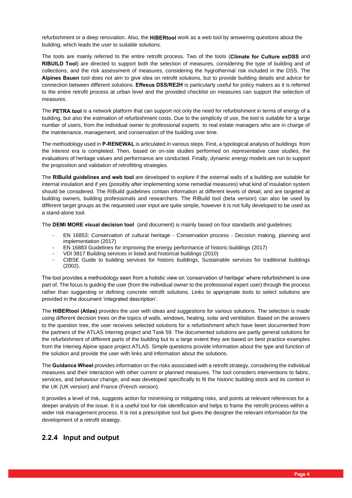refurbishment or a deep renovation. Also, the **HiBERtool** work as a web tool by answering questions about the building, which leads the user to suitable solutions.

The tools are mainly referred to the entire retrofit process. Two of the tools (**Climate for Culture exDSS** and **RIBUILD Tool**) are directed to support both the selection of measures, considering the type of building and of collections, and the risk assessment of measures, considering the hygrothermal risk included in the DSS. The **Alpines Bauen** tool does not aim to give idea on retrofit solutions, but to provide building details and advice for connection between different solutions. **Effesus DSS/RE2H** is particularly useful for policy makers as it is referred to the entire retrofit process at urban level and the provided checklist on measures can support the selection of measures.

The **PETRA tool** is a network platform that can support not only the need for refurbishment in terms of energy of a building, but also the estimation of refurbishment costs. Due to the simplicity of use, the tool is suitable for a large number of users, from the individual owner to professional experts to real estate managers who are in charge of the maintenance, management, and conservation of the building over time.

The methodology used in **P-RENEWAL** is articulated in various steps. First, a typological analysis of buildings from the interest era is completed. Then, based on on-site studies performed on representative case studies, the evaluations of heritage values and performance are conducted. Finally, dynamic energy models are run to support the proposition and validation of retrofitting strategies.

The **RIBuild guidelines and web tool** are developed to explore if the external walls of a building are suitable for internal insulation and if yes (possibly after implementing some remedial measures) what kind of insulation system should be considered. The RIBuild guidelines contain information at different levels of detail, and are targeted at building owners, building professionals and researchers. The RIBuild tool (beta version) can also be used by different target groups as the requested user input are quite simple, however it is not fully developed to be used as a stand-alone tool.

The **DEMI MORE visual decision tool** (and document) is mainly based on four standards and guidelines:

- EN 16853: Conservation of cultural heritage Conservation process Decision making, planning and implementation (2017)
- EN 16883 Guidelines for improving the energy performance of historic buildings (2017)
- VDI 3817 Building services in listed and historical buildings (2010)
- CIBSE Guide to building services for historic buildings, Sustainable services for traditional buildings (2002).

The tool provides a methodology seen from a holistic view on 'conservation of heritage' where refurbishment is one part of. The focus is guiding the user (from the individual owner to the professional expert user) through the process rather than suggesting or defining concrete retrofit solutions. Links to appropriate tools to select solutions are provided in the document 'integrated description'.

The **HiBERtool (Atlas)** provides the user with ideas and suggestions for various solutions. The selection is made using different decision trees on the topics of walls, windows, heating, solar and ventilation. Based on the answers to the question tree, the user receives selected solutions for a refurbishment which have been documented from the partners of the ATLAS Interreg project and Task 59. The documented solutions are partly general solutions for the refurbishment of different parts of the building but to a large extent they are based on best practice examples from the Interreg Alpine space project ATLAS. Simple questions provide information about the type and function of the solution and provide the user with links and information about the solutions.

The **Guidance Wheel** provides information on the risks associated with a retrofit strategy, considering the individual measures and their interaction with other current or planned measures. The tool considers interventions to fabric, services, and behaviour change, and was developed specifically to fit the historic building stock and its context in the UK (UK version) and France (French version).

It provides a level of risk, suggests action for minimising or mitigating risks, and points at relevant references for a deeper analysis of the issue. It is a useful tool for risk identification and helps to frame the retrofit process within a wider risk management process. It is not a prescriptive tool but gives the designer the relevant information for the development of a retrofit strategy.

#### **2.2.4 Input and output**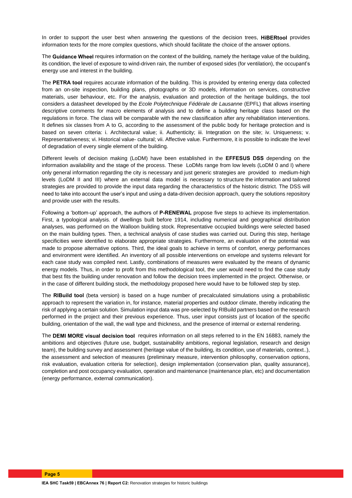In order to support the user best when answering the questions of the decision trees, **HiBERtool** provides information texts for the more complex questions, which should facilitate the choice of the answer options.

The **Guidance Wheel** requires information on the context of the building, namely the heritage value of the building, its condition, the level of exposure to wind-driven rain, the number of exposed sides (for ventilation), the occupant's energy use and interest in the building.

The **PETRA tool** requires accurate information of the building. This is provided by entering energy data collected from an on-site inspection, building plans, photographs or 3D models, information on services, constructive materials, user behaviour, etc. For the analysis, evaluation and protection of the heritage buildings, the tool considers a datasheet developed by the *Ecole Polytechnique Fédérale de Lausanne* (EPFL) that allows inserting descriptive comments for macro elements of analysis and to define a building heritage class based on the regulations in force. The class will be comparable with the new classification after any rehabilitation interventions. It defines six classes from A to G, according to the assessment of the public body for heritage protection and is based on seven criteria: i. Architectural value; ii. Authenticity; iii. Integration on the site; iv. Uniqueness; v. Representativeness; vi. Historical value- cultural; vii. Affective value. Furthermore, it is possible to indicate the level of degradation of every single element of the building.

Different levels of decision making (LoDM) have been established in the **EFFESUS DSS** depending on the information availability and the stage of the process. These LoDMs range from low levels (LoDM 0 and I) where only general information regarding the city is necessary and just generic strategies are provided to medium-high levels (LoDM II and III) where an external data model is necessary to structure the information and tailored strategies are provided to provide the input data regarding the characteristics of the historic district. The DSS will need to take into account the user's input and using a data-driven decision approach, query the solutions repository and provide user with the results.

Following a 'bottom-up' approach, the authors of **P-RENEWAL** propose five steps to achieve its implementation. First, a typological analysis. of dwellings built before 1914, including numerical and geographical distribution analyses, was performed on the Walloon building stock. Representative occupied buildings were selected based on the main building types. Then, a technical analysis of case studies was carried out. During this step, heritage specificities were identified to elaborate appropriate strategies. Furthermore, an evaluation of the potential was made to propose alternative options. Third, the ideal goals to achieve in terms of comfort, energy performances and environment were identified. An inventory of all possible interventions on envelope and systems relevant for each case study was compiled next. Lastly, combinations of measures were evaluated by the means of dynamic energy models. Thus, in order to profit from this methodological tool, the user would need to find the case study that best fits the building under renovation and follow the decision trees implemented in the project. Otherwise, or in the case of different building stock, the methodology proposed here would have to be followed step by step.

The **RIBuild tool** (beta version) is based on a huge number of precalculated simulations using a probabilistic approach to represent the variation in, for instance, material properties and outdoor climate, thereby indicating the risk of applying a certain solution. Simulation input data was pre-selected by RIBuild partners based on the research performed in the project and their previous experience. Thus, user input consists just of location of the specific building, orientation of the wall, the wall type and thickness, and the presence of internal or external rendering.

The **DEMI MORE visual decision tool** requires information on all steps referred to in the EN 16883, namely the ambitions and objectives (future use, budget, sustainability ambitions, regional legislation, research and design team), the building survey and assessment (heritage value of the building, its condition, use of materials, context..), the assessment and selection of measures (preliminary measure, intervention philosophy, conservation options, risk evaluation, evaluation criteria for selection), design implementation (conservation plan, quality assurance), completion and post occupancy evaluation, operation and maintenance (maintenance plan, etc) and documentation (energy performance, external communication).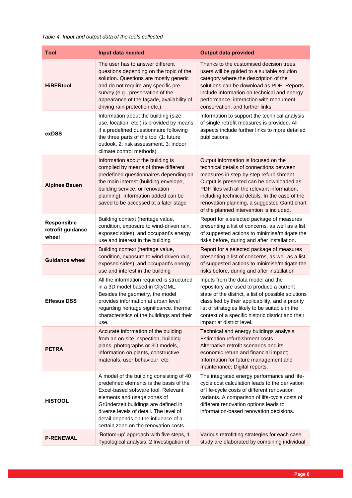#### *Table 4. Input and output data of the tools collected*

| Tool                                      | Input data needed                                                                                                                                                                                                                                                                                                            | <b>Output data provided</b>                                                                                                                                                                                                                                                                                                                                            |
|-------------------------------------------|------------------------------------------------------------------------------------------------------------------------------------------------------------------------------------------------------------------------------------------------------------------------------------------------------------------------------|------------------------------------------------------------------------------------------------------------------------------------------------------------------------------------------------------------------------------------------------------------------------------------------------------------------------------------------------------------------------|
| <b>HiBERtool</b>                          | The user has to answer different<br>questions depending on the topic of the<br>solution. Questions are mostly generic<br>and do not require any specific pre-<br>survey (e.g., preservation of the<br>appearance of the façade, availability of<br>driving rain protection etc.).                                            | Thanks to the customised decision trees,<br>users will be guided to a suitable solution<br>category where the description of the<br>solutions can be download as PDF. Reports<br>include information on technical and energy<br>performance, interaction with monument<br>conservation, and further links.                                                             |
| exDSS                                     | Information about the building (size,<br>use, location, etc.) is provided by means<br>if a predefined questionnaire following<br>the three parts of the tool (1: future<br>outlook, 2: risk assessment, 3: indoor<br>climate control methods)                                                                                | Information to support the technical analysis<br>of single retrofit measures is provided. All<br>aspects include further links to more detailed<br>publications.                                                                                                                                                                                                       |
| <b>Alpines Bauen</b>                      | Information about the building is<br>compiled by means of three different<br>predefined questionnaires depending on<br>the main interest (building envelope,<br>building service, or renovation<br>planning). Information added can be<br>saved to be accessed at a later stage                                              | Output information is focused on the<br>technical details of connections between<br>measures in step-by-step refurbishment.<br>Output is presented can be downloaded as<br>PDF files with all the relevant information,<br>including technical details. In the case of the<br>renovation planning, a suggested Gantt chart<br>of the planned intervention is included. |
| Responsible<br>retrofit guidance<br>wheel | Building context (heritage value,<br>condition, exposure to wind-driven rain,<br>exposed sides), and occupant's energy<br>use and interest in the building                                                                                                                                                                   | Report for a selected package of measures<br>presenting a list of concerns, as well as a list<br>of suggested actions to minimise/mitigate the<br>risks before, during and after installation.                                                                                                                                                                         |
| <b>Guidance wheel</b>                     | Building context (heritage value,<br>condition, exposure to wind-driven rain,<br>exposed sides), and occupant's energy<br>use and interest in the building                                                                                                                                                                   | Report for a selected package of measures<br>presenting a list of concerns, as well as a list<br>of suggested actions to minimise/mitigate the<br>risks before, during and after installation                                                                                                                                                                          |
| <b>Effesus DSS</b>                        | All the information required is structured<br>in a 3D model based in CityGML.<br>Besides the geometry, the model<br>provides information at urban level<br>regarding heritage significance, thermal<br>characteristics of the buildings and their<br>use.                                                                    | Inputs from the data model and the<br>repository are used to produce a current<br>state of the district, a list of possible solutions<br>classified by their applicability, and a priority<br>list of strategies likely to be suitable in the<br>context of a specific historic district and their<br>impact at district level.                                        |
| <b>PETRA</b>                              | Accurate information of the building<br>from an on-site inspection, building<br>plans, photographs or 3D models,<br>information on plants, constructive<br>materials, user behaviour, etc.                                                                                                                                   | Technical and energy buildings analysis.<br>Estimation refurbishment costs<br>Alternative retrofit scenarios and its<br>economic return and financial impact;<br>Information for future management and<br>maintenance; Digital reports.                                                                                                                                |
| <b>HISTOOL</b>                            | A model of the building consisting of 40<br>predefined elements is the basis of the<br>Excel-based software tool. Relevant<br>elements and usage zones of<br>Gründerzeit buildings are defined in<br>diverse levels of detail. The level of<br>detail depends on the influence of a<br>certain zone on the renovation costs. | The integrated energy performance and life-<br>cycle cost calculation leads to the derivation<br>of life-cycle costs of different renovation<br>variants. A comparison of life-cycle costs of<br>different renovation options leads to<br>information-based renovation decisions.                                                                                      |
| <b>P-RENEWAL</b>                          | 'Bottom-up' approach with five steps, 1<br>Typological analysis, 2 Investigation of                                                                                                                                                                                                                                          | Various retrofitting strategies for each case<br>study are elaborated by combining individual                                                                                                                                                                                                                                                                          |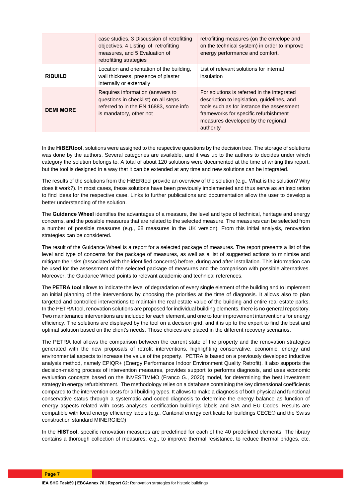|                  | case studies, 3 Discussion of retrofitting<br>objectives, 4 Listing of retrofitting<br>measures, and 5 Evaluation of<br>retrofitting strategies | retrofitting measures (on the envelope and<br>on the technical system) in order to improve<br>energy performance and comfort.                                                                                                       |
|------------------|-------------------------------------------------------------------------------------------------------------------------------------------------|-------------------------------------------------------------------------------------------------------------------------------------------------------------------------------------------------------------------------------------|
| <b>RIBUILD</b>   | Location and orientation of the building,<br>wall thickness, presence of plaster<br>internally or externally                                    | List of relevant solutions for internal<br>insulation                                                                                                                                                                               |
| <b>DEMI MORE</b> | Requires information (answers to<br>questions in checklist) on all steps<br>referred to in the EN 16883, some info<br>is mandatory, other not   | For solutions is referred in the integrated<br>description to legislation, guidelines, and<br>tools such as for instance the assessment<br>frameworks for specific refurbishment<br>measures developed by the regional<br>authority |

In the **HiBERtool**, solutions were assigned to the respective questions by the decision tree. The storage of solutions was done by the authors. Several categories are available, and it was up to the authors to decides under which category the solution belongs to. A total of about 120 solutions were documented at the time of writing this report, but the tool is designed in a way that it can be extended at any time and new solutions can be integrated.

The results of the solutions from the HiBERtool provide an overview of the solution (e.g., What is the solution? Why does it work?). In most cases, these solutions have been previously implemented and thus serve as an inspiration to find ideas for the respective case. Links to further publications and documentation allow the user to develop a better understanding of the solution.

The **Guidance Wheel** identifies the advantages of a measure, the level and type of technical, heritage and energy concerns, and the possible measures that are related to the selected measure. The measures can be selected from a number of possible measures (e.g., 68 measures in the UK version). From this initial analysis, renovation strategies can be considered.

The result of the Guidance Wheel is a report for a selected package of measures. The report presents a list of the level and type of concerns for the package of measures, as well as a list of suggested actions to minimise and mitigate the risks (associated with the identified concerns) before, during and after installation. This information can be used for the assessment of the selected package of measures and the comparison with possible alternatives. Moreover, the Guidance Wheel points to relevant academic and technical references.

The **PETRA tool** allows to indicate the level of degradation of every single element of the building and to implement an initial planning of the interventions by choosing the priorities at the time of diagnosis. It allows also to plan targeted and controlled interventions to maintain the real estate value of the building and entire real estate parks. In the PETRA tool, renovation solutions are proposed for individual building elements, there is no general repository. Two maintenance interventions are included for each element, and one to four improvement interventions for energy efficiency. The solutions are displayed by the tool on a decision grid, and it is up to the expert to find the best and optimal solution based on the client's needs. Those choices are placed in the different recovery scenarios.

The PETRA tool allows the comparison between the current state of the property and the renovation strategies generated with the new proposals of retrofit interventions, highlighting conservative, economic, energy and environmental aspects to increase the value of the property. PETRA is based on a previously developed inductive analysis method, namely EPIQR+ (Energy Performance Indoor Environment Quality Retrofit). It also supports the decision-making process of intervention measures, provides support to performs diagnosis, and uses economic evaluation concepts based on the INVESTIMMO (Franco G., 2020) model, for determining the best investment strategy in energy refurbishment. The methodology relies on a database containing the key dimensional coefficients compared to the intervention costs for all building types. It allows to make a diagnosis of both physical and functional conservative status through a systematic and coded diagnosis to determine the energy balance as function of energy aspects related with costs analyses, certification buildings labels and SIA and EU Codes. Results are compatible with local energy efficiency labels (e.g., Cantonal energy certificate for buildings CECE® and the Swiss construction standard MINERGIE®)

In the **HISTool**, specific renovation measures are predefined for each of the 40 predefined elements. The library contains a thorough collection of measures, e.g., to improve thermal resistance, to reduce thermal bridges, etc.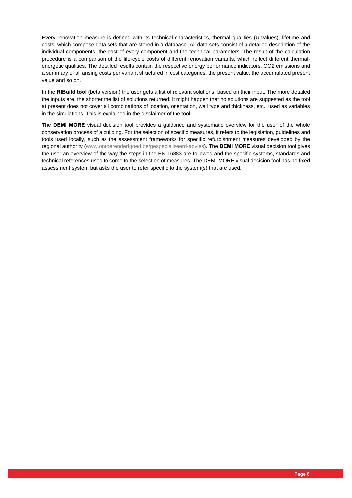Every renovation measure is defined with its technical characteristics, thermal qualities (U-values), lifetime and costs, which compose data sets that are stored in a database. All data sets consist of a detailed description of the individual components, the cost of every component and the technical parameters. The result of the calculation procedure is a comparison of the life-cycle costs of different renovation variants, which reflect different thermalenergetic qualities. The detailed results contain the respective energy performance indicators, CO2 emissions and a summary of all arising costs per variant structured in cost categories, the present value, the accumulated present value and so on.

In the **RIBuild tool** (beta version) the user gets a list of relevant solutions, based on their input. The more detailed the inputs are, the shorter the list of solutions returned. It might happen that no solutions are suggested as the tool at present does not cover all combinations of location, orientation, wall type and thickness, etc., used as variables in the simulations. This is explained in the disclaimer of the tool.

The **DEMI MORE** visual decision tool provides a guidance and systematic overview for the user of the whole conservation process of a building. For the selection of specific measures, it refers to the legislation, guidelines and tools used locally, such as the assessment frameworks for specific refurbishment measures developed by the regional authority [\(www.onroerenderfgoed.be/gespecialiseerd-advies\)](http://www.onroerenderfgoed.be/gespecialiseerd-advies). The **DEMI MORE** visual decision tool gives the user an overview of the way the steps in the EN 16883 are followed and the specific systems, standards and technical references used to come to the selection of measures. The DEMI MORE visual decision tool has no fixed assessment system but asks the user to refer specific to the system(s) that are used.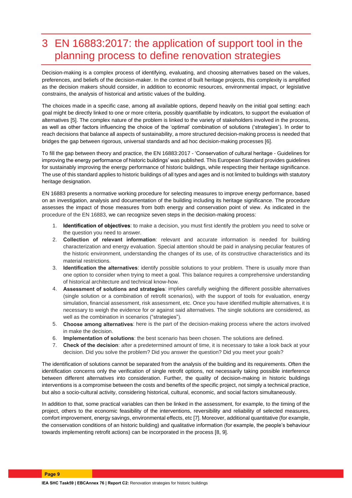# 3 EN 16883:2017: the application of support tool in the planning process to define renovation strategies

Decision-making is a complex process of identifying, evaluating, and choosing alternatives based on the values, preferences, and beliefs of the decision-maker. In the context of built heritage projects, this complexity is amplified as the decision makers should consider, in addition to economic resources, environmental impact, or legislative constrains, the analysis of historical and artistic values of the building.

The choices made in a specific case, among all available options, depend heavily on the initial goal setting: each goal might be directly linked to one or more criteria, possibly quantifiable by indicators, to support the evaluation of alternatives [5]. The complex nature of the problem is linked to the variety of stakeholders involved in the process, as well as other factors influencing the choice of the 'optimal' combination of solutions ('strategies'). In order to reach decisions that balance all aspects of sustainability, a more structured decision-making process is needed that bridges the gap between rigorous, universal standards and ad hoc decision-making processes [6].

To fill the gap between theory and practice, the EN 16883:2017 - 'Conservation of cultural heritage - Guidelines for improving the energy performance of historic buildings' was published. This European Standard provides guidelines for sustainably improving the energy performance of historic buildings, while respecting their heritage significance. The use of this standard applies to historic buildings of all types and ages and is not limited to buildings with statutory heritage designation.

EN 16883 presents a normative working procedure for selecting measures to improve energy performance, based on an investigation, analysis and documentation of the building including its heritage significance. The procedure assesses the impact of those measures from both energy and conservation point of view. As indicated in the procedure of the EN 16883, we can recognize seven steps in the decision-making process:

- 1. **Identification of objectives**: to make a decision, you must first identify the problem you need to solve or the question you need to answer.
- 2. **Collection of relevant information**: relevant and accurate information is needed for building characterization and energy evaluation. Special attention should be paid in analysing peculiar features of the historic environment, understanding the changes of its use, of its constructive characteristics and its material restrictions.
- 3. **Identification the alternatives**: identify possible solutions to your problem. There is usually more than one option to consider when trying to meet a goal. This balance requires a comprehensive understanding of historical architecture and technical know-how.
- 4. **Assessment of solutions and strategies**: implies carefully weighing the different possible alternatives (single solution or a combination of retrofit scenarios), with the support of tools for evaluation, energy simulation, financial assessment, risk assessment, etc. Once you have identified multiple alternatives, it is necessary to weigh the evidence for or against said alternatives. The single solutions are considered, as well as the combination in scenarios ("strategies").
- 5. **Choose among alternatives**: here is the part of the decision-making process where the actors involved in make the decision.
- 6. **Implementation of solutions**: the best scenario has been chosen. The solutions are defined.
- 7. **Check of the decision**: after a predetermined amount of time, it is necessary to take a look back at your decision. Did you solve the problem? Did you answer the question? Did you meet your goals?

The identification of solutions cannot be separated from the analysis of the building and its requirements. Often the identification concerns only the verification of single retrofit options, not necessarily taking possible interference between different alternatives into consideration. Further, the quality of decision-making in historic buildings interventions is a compromise between the costs and benefits of the specific project, not simply a technical practice, but also a socio-cultural activity, considering historical, cultural, economic, and social factors simultaneously.

In addition to that, some practical variables can then be linked in the assessment, for example, to the timing of the project, others to the economic feasibility of the interventions, reversibility and reliability of selected measures, comfort improvement, energy savings, environmental effects, etc [7]. Moreover, additional quantitative (for example, the conservation conditions of an historic building) and qualitative information (for example, the people's behaviour towards implementing retrofit actions) can be incorporated in the process [8, 9].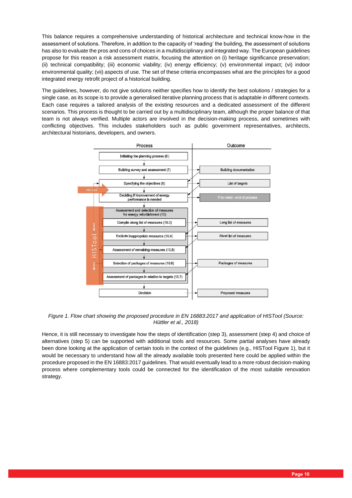This balance requires a comprehensive understanding of historical architecture and technical know-how in the assessment of solutions. Therefore, in addition to the capacity of 'reading' the building, the assessment of solutions has also to evaluate the pros and cons of choices in a multidisciplinary and integrated way. The European guidelines propose for this reason a risk assessment matrix, focusing the attention on (i) heritage significance preservation; (ii) technical compatibility; (iii) economic viability; (iv) energy efficiency; (v) environmental impact; (vi) indoor environmental quality; (vii) aspects of use. The set of these criteria encompasses what are the principles for a good integrated energy retrofit project of a historical building.

The guidelines, however, do not give solutions neither specifies how to identify the best solutions / strategies for a single case, as its scope is to provide a generalised iterative planning process that is adaptable in different contexts. Each case requires a tailored analysis of the existing resources and a dedicated assessment of the different scenarios. This process is thought to be carried out by a multidisciplinary team, although the proper balance of that team is not always verified. Multiple actors are involved in the decision-making process, and sometimes with conflicting objectives. This includes stakeholders such as public government representatives, architects, architectural historians, developers, and owners.



*Figure 1. Flow chart showing the proposed procedure in EN 16883:2017 and application of HISTool (Source: Hüttler et al., 2018)*

Hence, it is still necessary to investigate how the steps of identification (step 3), assessment (step 4) and choice of alternatives (step 5) can be supported with additional tools and resources. Some partial analyses have already been done looking at the application of certain tools in the context of the guidelines (e.g., HISTool Figure 1), but it would be necessary to understand how all the already available tools presented here could be applied within the procedure proposed in the EN 16883:2017 guidelines. That would eventually lead to a more robust decision-making process where complementary tools could be connected for the identification of the most suitable renovation strategy.